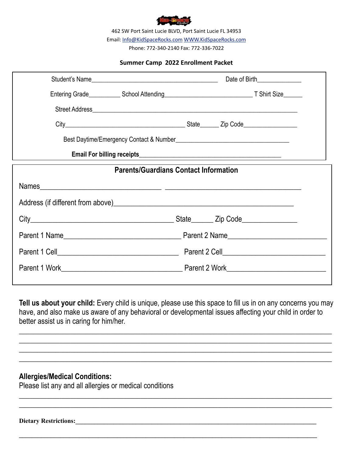

462 SW Port Saint Lucie BLVD, Port Saint Lucie FL 34953 Email: [Info@KidSpaceRocks.com](mailto:Info@KidSpaceRocks.com) [WWW.KidSpaceRocks.com](http://WWW.KidSpaceRocks.com)  Phone: 772-340-2140 Fax: 772-336-7022

#### **Summer Camp 2022 Enrollment Packet**

| Student's Name | Date of Birth________________                |
|----------------|----------------------------------------------|
|                |                                              |
|                |                                              |
|                |                                              |
|                |                                              |
|                |                                              |
|                | <b>Parents/Guardians Contact Information</b> |
| Names          |                                              |
|                |                                              |
|                |                                              |
|                |                                              |
|                |                                              |
|                |                                              |
|                |                                              |

**Tell us about your child:** Every child is unique, please use this space to fill us in on any concerns you may have, and also make us aware of any behavioral or developmental issues affecting your child in order to better assist us in caring for him/her.

**\_\_\_\_\_\_\_\_\_\_\_\_\_\_\_\_\_\_\_\_\_\_\_\_\_\_\_\_\_\_\_\_\_\_\_\_\_\_\_\_\_\_\_\_\_\_\_\_\_\_\_\_\_\_\_\_\_\_\_\_\_\_\_\_\_\_\_\_\_\_\_\_\_\_\_\_\_\_\_\_\_\_\_\_\_ \_\_\_\_\_\_\_\_\_\_\_\_\_\_\_\_\_\_\_\_\_\_\_\_\_\_\_\_\_\_\_\_\_\_\_\_\_\_\_\_\_\_\_\_\_\_\_\_\_\_\_\_\_\_\_\_\_\_\_\_\_\_\_\_\_\_\_\_\_\_\_\_\_\_\_\_\_\_\_\_\_\_\_\_\_ \_\_\_\_\_\_\_\_\_\_\_\_\_\_\_\_\_\_\_\_\_\_\_\_\_\_\_\_\_\_\_\_\_\_\_\_\_\_\_\_\_\_\_\_\_\_\_\_\_\_\_\_\_\_\_\_\_\_\_\_\_\_\_\_\_\_\_\_\_\_\_\_\_\_\_\_\_\_\_\_\_\_\_\_\_ \_\_\_\_\_\_\_\_\_\_\_\_\_\_\_\_\_\_\_\_\_\_\_\_\_\_\_\_\_\_\_\_\_\_\_\_\_\_\_\_\_\_\_\_\_\_\_\_\_\_\_\_\_\_\_\_\_\_\_\_\_\_\_\_\_\_\_\_\_\_\_\_\_\_\_\_\_\_\_\_\_\_\_\_\_**

 $\_$  , and the set of the set of the set of the set of the set of the set of the set of the set of the set of the set of the set of the set of the set of the set of the set of the set of the set of the set of the set of th  $\_$  , and the set of the set of the set of the set of the set of the set of the set of the set of the set of the set of the set of the set of the set of the set of the set of the set of the set of the set of the set of th

**\_\_\_\_\_\_\_\_\_\_\_\_\_\_\_\_\_\_\_\_\_\_\_\_\_\_\_\_\_\_\_\_\_\_\_\_\_\_\_\_\_\_\_\_\_\_\_\_\_\_\_\_\_\_\_\_\_\_\_\_\_\_\_\_\_\_\_\_\_\_\_\_\_\_\_\_\_\_\_\_\_\_\_\_\_\_\_\_\_\_\_\_\_\_**

### **Allergies/Medical Conditions:**

Please list any and all allergies or medical conditions

Dietary Restrictions: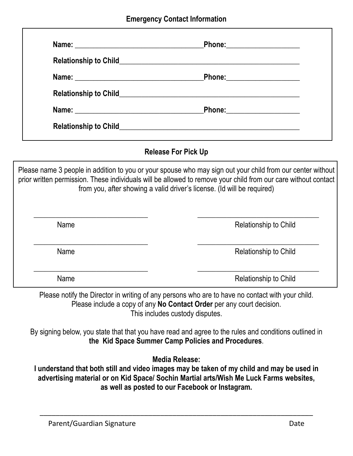| <b>Relationship to Child</b> | <u> 1980 - Jan Samuel Barbara, martin da shekara ta 1980 - An tsara tsara tsara tsara tsara tsara tsara tsara tsa</u> |  |
|------------------------------|-----------------------------------------------------------------------------------------------------------------------|--|
|                              | Phone: 2008 2010 2021 2022 2022 2023 2024 2022 2022 2023 2024 2022 2023 2024 2022 2023 2024 2025 2026 2027 20         |  |
|                              |                                                                                                                       |  |
|                              |                                                                                                                       |  |
| <b>Relationship to Child</b> |                                                                                                                       |  |

# **Release For Pick Up**

Please name 3 people in addition to you or your spouse who may sign out your child from our center without prior written permission. These individuals will be allowed to remove your child from our care without contact from you, after showing a valid driver's license. (Id will be required)

| Name | Relationship to Child |
|------|-----------------------|
| Name | Relationship to Child |
| Name | Relationship to Child |

Please notify the Director in writing of any persons who are to have no contact with your child. Please include a copy of any **No Contact Order** per any court decision. This includes custody disputes.

By signing below, you state that that you have read and agree to the rules and conditions outlined in **the Kid Space Summer Camp Policies and Procedures**.

**Media Release:**

**I understand that both still and video images may be taken of my child and may be used in advertising material or on Kid Space/ Sochin Martial arts/Wish Me Luck Farms websites, as well as posted to our Facebook or Instagram.** 

\_\_\_\_\_\_\_\_\_\_\_\_\_\_\_\_\_\_\_\_\_\_\_\_\_\_\_\_\_\_\_\_\_\_\_\_\_\_\_\_\_\_\_\_\_\_\_\_\_\_\_\_\_\_\_\_\_\_\_\_\_\_\_\_\_\_\_\_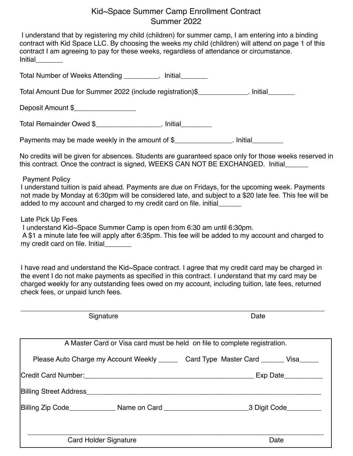# Kid~Space Summer Camp Enrollment Contract Summer 2022

| contract I am agreeing to pay for these weeks, regardless of attendance or circumstance.<br>Initial________                           | I understand that by registering my child (children) for summer camp, I am entering into a binding<br>contract with Kid Space LLC. By choosing the weeks my child (children) will attend on page 1 of this                                                                                                 |
|---------------------------------------------------------------------------------------------------------------------------------------|------------------------------------------------------------------------------------------------------------------------------------------------------------------------------------------------------------------------------------------------------------------------------------------------------------|
| Total Number of Weeks Attending __________. Initial________                                                                           |                                                                                                                                                                                                                                                                                                            |
| Total Amount Due for Summer 2022 (include registration)\$______________. Initial________                                              |                                                                                                                                                                                                                                                                                                            |
| Deposit Amount \$__________________                                                                                                   |                                                                                                                                                                                                                                                                                                            |
| Total Remainder Owed \$____________________. Initial_________                                                                         |                                                                                                                                                                                                                                                                                                            |
| Payments may be made weekly in the amount of \$_______________. Initial_________                                                      |                                                                                                                                                                                                                                                                                                            |
|                                                                                                                                       | No credits will be given for absences. Students are guaranteed space only for those weeks reserved in<br>this contract. Once the contract is signed, WEEKS CAN NOT BE EXCHANGED. Initial                                                                                                                   |
| <b>Payment Policy</b><br>added to my account and charged to my credit card on file. initial______                                     | I understand tuition is paid ahead. Payments are due on Fridays, for the upcoming week. Payments<br>not made by Monday at 6:30pm will be considered late, and subject to a \$20 late fee. This fee will be                                                                                                 |
| Late Pick Up Fees<br>I understand Kid~Space Summer Camp is open from 6:30 am until 6:30pm.<br>my credit card on file. Initial________ | A \$1 a minute late fee will apply after 6:35pm. This fee will be added to my account and charged to                                                                                                                                                                                                       |
| check fees, or unpaid lunch fees.                                                                                                     | I have read and understand the Kid~Space contract. I agree that my credit card may be charged in<br>the event I do not make payments as specified in this contract. I understand that my card may be<br>charged weekly for any outstanding fees owed on my account, including tuition, late fees, returned |
| Signature                                                                                                                             | Date                                                                                                                                                                                                                                                                                                       |
|                                                                                                                                       | A Master Card or Visa card must be held on file to complete registration.                                                                                                                                                                                                                                  |
|                                                                                                                                       | Please Auto Charge my Account Weekly ______ Card Type Master Card ______ Visa_____                                                                                                                                                                                                                         |
|                                                                                                                                       |                                                                                                                                                                                                                                                                                                            |
|                                                                                                                                       |                                                                                                                                                                                                                                                                                                            |
|                                                                                                                                       | Billing Zip Code________________ Name on Card _____________________________3 Digit Code___________                                                                                                                                                                                                         |
| <b>Card Holder Signature</b>                                                                                                          | Date                                                                                                                                                                                                                                                                                                       |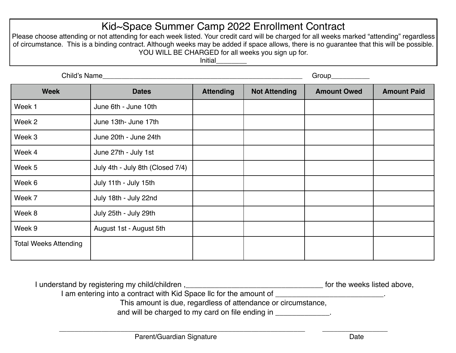# Kid~Space Summer Camp 2022 Enrollment Contract

Please choose attending or not attending for each week listed. Your credit card will be charged for all weeks marked "attending" regardless of circumstance. This is a binding contract. Although weeks may be added if space allows, there is no guarantee that this will be possible. YOU WILL BE CHARGED for all weeks you sign up for.

**Initial** 

| Child's Name                 |                                  |                  |                      |                    |                    |
|------------------------------|----------------------------------|------------------|----------------------|--------------------|--------------------|
| <b>Week</b>                  | <b>Dates</b>                     | <b>Attending</b> | <b>Not Attending</b> | <b>Amount Owed</b> | <b>Amount Paid</b> |
| Week 1                       | June 6th - June 10th             |                  |                      |                    |                    |
| Week 2                       | June 13th- June 17th             |                  |                      |                    |                    |
| Week 3                       | June 20th - June 24th            |                  |                      |                    |                    |
| Week 4                       | June 27th - July 1st             |                  |                      |                    |                    |
| Week 5                       | July 4th - July 8th (Closed 7/4) |                  |                      |                    |                    |
| Week 6                       | July 11th - July 15th            |                  |                      |                    |                    |
| Week 7                       | July 18th - July 22nd            |                  |                      |                    |                    |
| Week 8                       | July 25th - July 29th            |                  |                      |                    |                    |
| Week 9                       | August 1st - August 5th          |                  |                      |                    |                    |
| <b>Total Weeks Attending</b> |                                  |                  |                      |                    |                    |

| I understand by registering my child/children,                     | for the weeks listed above, |
|--------------------------------------------------------------------|-----------------------------|
| I am entering into a contract with Kid Space IIc for the amount of |                             |
| This amount is due, regardless of attendance or circumstance,      |                             |
| and will be charged to my card on file ending in                   |                             |
|                                                                    |                             |

\_\_\_\_\_\_\_\_\_\_\_\_\_\_\_\_\_\_\_\_\_\_\_\_\_\_\_\_\_\_\_\_\_\_\_\_\_\_\_\_\_\_\_\_\_\_\_\_\_\_\_\_\_\_\_\_\_\_\_\_\_\_\_\_ \_\_\_\_\_\_\_\_\_\_\_\_\_\_\_\_\_